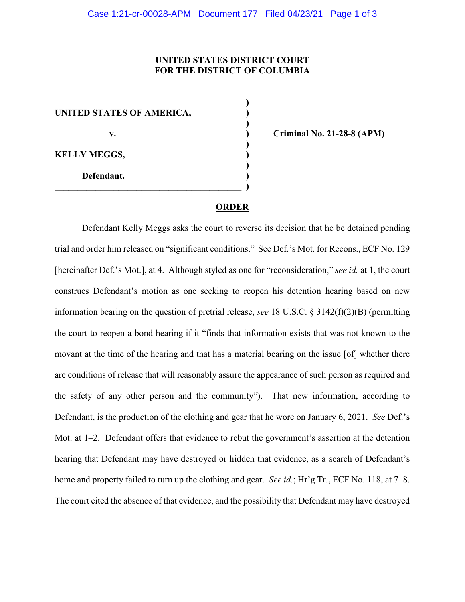## **UNITED STATES DISTRICT COURT FOR THE DISTRICT OF COLUMBIA**

**)**

**)**

**)**

**)**

**UNITED STATES OF AMERICA, )**

**\_\_\_\_\_\_\_\_\_\_\_\_\_\_\_\_\_\_\_\_\_\_\_\_\_\_\_\_\_\_\_\_\_\_\_\_\_\_\_\_\_** 

**\_\_\_\_\_\_\_\_\_\_\_\_\_\_\_\_\_\_\_\_\_\_\_\_\_\_\_\_\_\_\_\_\_\_\_\_\_\_\_\_\_ )**

**KELLY MEGGS, )**

**Defendant. )**

**v. ) Criminal No. 21-28-8 (APM)**

## **ORDER**

Defendant Kelly Meggs asks the court to reverse its decision that he be detained pending trial and order him released on "significant conditions." See Def.'s Mot. for Recons., ECF No. 129 [hereinafter Def.'s Mot.], at 4. Although styled as one for "reconsideration," *see id.* at 1, the court construes Defendant's motion as one seeking to reopen his detention hearing based on new information bearing on the question of pretrial release, *see* 18 U.S.C. § 3142(f)(2)(B) (permitting the court to reopen a bond hearing if it "finds that information exists that was not known to the movant at the time of the hearing and that has a material bearing on the issue [of] whether there are conditions of release that will reasonably assure the appearance of such person as required and the safety of any other person and the community"). That new information, according to Defendant, is the production of the clothing and gear that he wore on January 6, 2021. *See* Def.'s Mot. at 1–2. Defendant offers that evidence to rebut the government's assertion at the detention hearing that Defendant may have destroyed or hidden that evidence, as a search of Defendant's home and property failed to turn up the clothing and gear. *See id.*; Hr'g Tr., ECF No. 118, at 7–8. The court cited the absence of that evidence, and the possibility that Defendant may have destroyed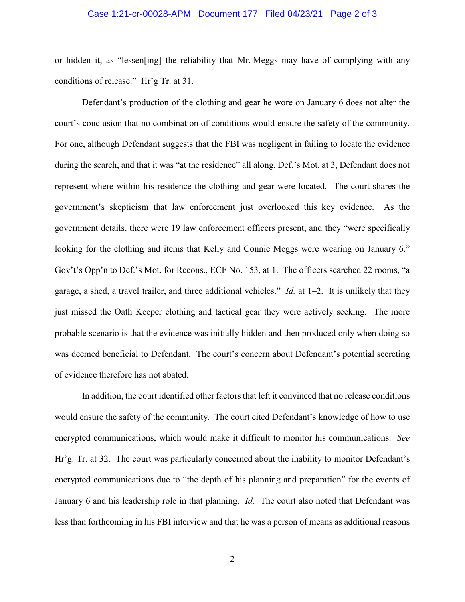## Case 1:21-cr-00028-APM Document 177 Filed 04/23/21 Page 2 of 3

or hidden it, as "lessen[ing] the reliability that Mr. Meggs may have of complying with any conditions of release." Hr'g Tr. at 31.

Defendant's production of the clothing and gear he wore on January 6 does not alter the court's conclusion that no combination of conditions would ensure the safety of the community. For one, although Defendant suggests that the FBI was negligent in failing to locate the evidence during the search, and that it was "at the residence" all along, Def.'s Mot. at 3, Defendant does not represent where within his residence the clothing and gear were located. The court shares the government's skepticism that law enforcement just overlooked this key evidence. As the government details, there were 19 law enforcement officers present, and they "were specifically looking for the clothing and items that Kelly and Connie Meggs were wearing on January 6." Gov't's Opp'n to Def.'s Mot. for Recons., ECF No. 153, at 1. The officers searched 22 rooms, "a garage, a shed, a travel trailer, and three additional vehicles." *Id.* at 1–2. It is unlikely that they just missed the Oath Keeper clothing and tactical gear they were actively seeking. The more probable scenario is that the evidence was initially hidden and then produced only when doing so was deemed beneficial to Defendant. The court's concern about Defendant's potential secreting of evidence therefore has not abated.

In addition, the court identified other factors that left it convinced that no release conditions would ensure the safety of the community. The court cited Defendant's knowledge of how to use encrypted communications, which would make it difficult to monitor his communications. *See*  Hr'g. Tr. at 32. The court was particularly concerned about the inability to monitor Defendant's encrypted communications due to "the depth of his planning and preparation" for the events of January 6 and his leadership role in that planning. *Id.* The court also noted that Defendant was less than forthcoming in his FBI interview and that he was a person of means as additional reasons